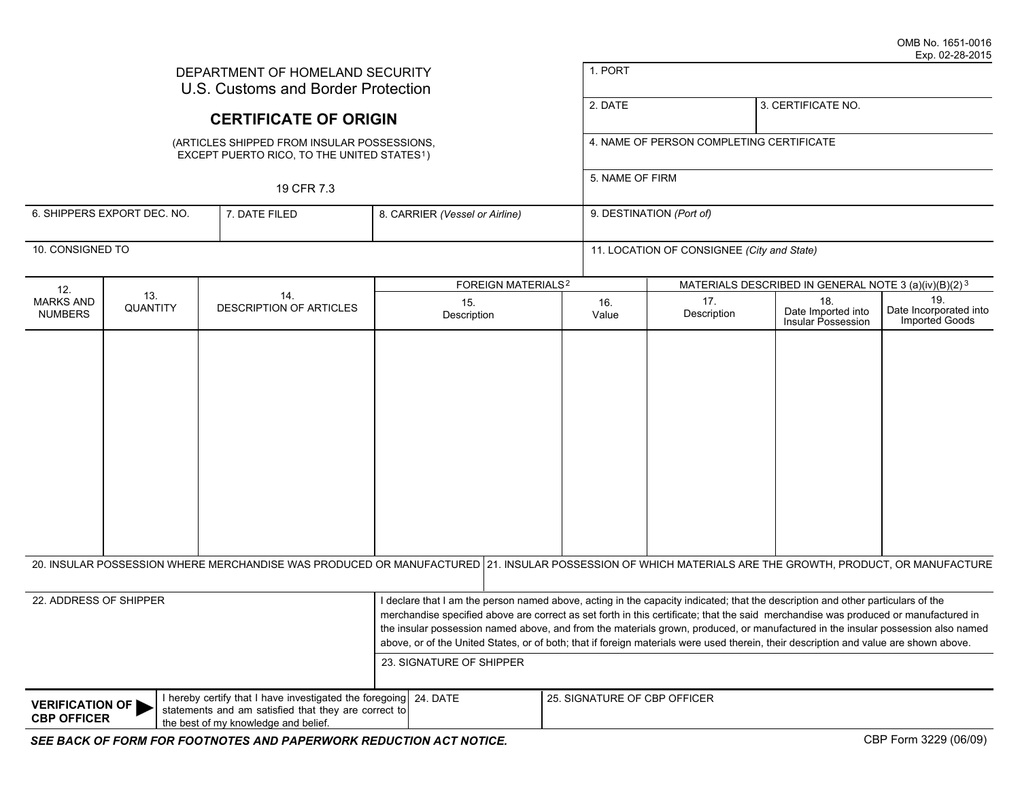| DEPARTMENT OF HOMELAND SECURITY<br>U.S. Customs and Border Protection                                                                                                                                            |                             |                                                                                                                                                         |                                |  |                                          | 1. PORT                                                          |                                            |                                                                                                                                                                                                                                                                                                                                                                                                                                                                                                                                                     |                                                 |  |
|------------------------------------------------------------------------------------------------------------------------------------------------------------------------------------------------------------------|-----------------------------|---------------------------------------------------------------------------------------------------------------------------------------------------------|--------------------------------|--|------------------------------------------|------------------------------------------------------------------|--------------------------------------------|-----------------------------------------------------------------------------------------------------------------------------------------------------------------------------------------------------------------------------------------------------------------------------------------------------------------------------------------------------------------------------------------------------------------------------------------------------------------------------------------------------------------------------------------------------|-------------------------------------------------|--|
|                                                                                                                                                                                                                  |                             | <b>CERTIFICATE OF ORIGIN</b>                                                                                                                            |                                |  | 2. DATE                                  |                                                                  | 3. CERTIFICATE NO.                         |                                                                                                                                                                                                                                                                                                                                                                                                                                                                                                                                                     |                                                 |  |
|                                                                                                                                                                                                                  |                             | (ARTICLES SHIPPED FROM INSULAR POSSESSIONS,<br>EXCEPT PUERTO RICO, TO THE UNITED STATES <sup>1</sup> )                                                  |                                |  | 4. NAME OF PERSON COMPLETING CERTIFICATE |                                                                  |                                            |                                                                                                                                                                                                                                                                                                                                                                                                                                                                                                                                                     |                                                 |  |
|                                                                                                                                                                                                                  |                             | 19 CFR 7.3                                                                                                                                              |                                |  |                                          | 5. NAME OF FIRM                                                  |                                            |                                                                                                                                                                                                                                                                                                                                                                                                                                                                                                                                                     |                                                 |  |
|                                                                                                                                                                                                                  | 6. SHIPPERS EXPORT DEC. NO. | 8. CARRIER (Vessel or Airline)                                                                                                                          |                                |  | 9. DESTINATION (Port of)                 |                                                                  |                                            |                                                                                                                                                                                                                                                                                                                                                                                                                                                                                                                                                     |                                                 |  |
| 10. CONSIGNED TO                                                                                                                                                                                                 |                             |                                                                                                                                                         |                                |  |                                          |                                                                  | 11. LOCATION OF CONSIGNEE (City and State) |                                                                                                                                                                                                                                                                                                                                                                                                                                                                                                                                                     |                                                 |  |
| 12.                                                                                                                                                                                                              |                             |                                                                                                                                                         | FOREIGN MATERIALS <sup>2</sup> |  |                                          | MATERIALS DESCRIBED IN GENERAL NOTE 3 (a)(iv)(B)(2) <sup>3</sup> |                                            |                                                                                                                                                                                                                                                                                                                                                                                                                                                                                                                                                     |                                                 |  |
| <b>MARKS AND</b><br><b>NUMBERS</b>                                                                                                                                                                               | 13.<br>QUANTITY             | 14.<br><b>DESCRIPTION OF ARTICLES</b>                                                                                                                   | 15.<br>Description             |  |                                          | 16.<br>Value                                                     | 17.<br>Description                         | 18.<br>Date Imported into<br>Insular Possession                                                                                                                                                                                                                                                                                                                                                                                                                                                                                                     | 19.<br>Date Incorporated into<br>Imported Goods |  |
|                                                                                                                                                                                                                  |                             |                                                                                                                                                         |                                |  |                                          |                                                                  |                                            |                                                                                                                                                                                                                                                                                                                                                                                                                                                                                                                                                     |                                                 |  |
|                                                                                                                                                                                                                  |                             | 20. INSULAR POSSESSION WHERE MERCHANDISE WAS PRODUCED OR MANUFACTURED 21. INSULAR POSSESSION OF WHICH MATERIALS ARE THE GROWTH, PRODUCT, OR MANUFACTURE |                                |  |                                          |                                                                  |                                            |                                                                                                                                                                                                                                                                                                                                                                                                                                                                                                                                                     |                                                 |  |
| 22. ADDRESS OF SHIPPER                                                                                                                                                                                           |                             |                                                                                                                                                         | 23. SIGNATURE OF SHIPPER       |  |                                          |                                                                  |                                            | I declare that I am the person named above, acting in the capacity indicated; that the description and other particulars of the<br>merchandise specified above are correct as set forth in this certificate; that the said merchandise was produced or manufactured in<br>the insular possession named above, and from the materials grown, produced, or manufactured in the insular possession also named<br>above, or of the United States, or of both; that if foreign materials were used therein, their description and value are shown above. |                                                 |  |
| I hereby certify that I have investigated the foregoing 24. DATE<br><b>VERIFICATION OF</b><br>statements and am satisfied that they are correct to<br><b>CBP OFFICER</b><br>the best of my knowledge and belief. |                             |                                                                                                                                                         |                                |  | 25. SIGNATURE OF CBP OFFICER             |                                                                  |                                            |                                                                                                                                                                                                                                                                                                                                                                                                                                                                                                                                                     |                                                 |  |
|                                                                                                                                                                                                                  |                             | SEE BACK OF FORM FOR FOOTNOTES AND PAPERWORK REDUCTION ACT NOTICE.                                                                                      |                                |  |                                          |                                                                  |                                            |                                                                                                                                                                                                                                                                                                                                                                                                                                                                                                                                                     | CBP Form 3229 (06/09)                           |  |